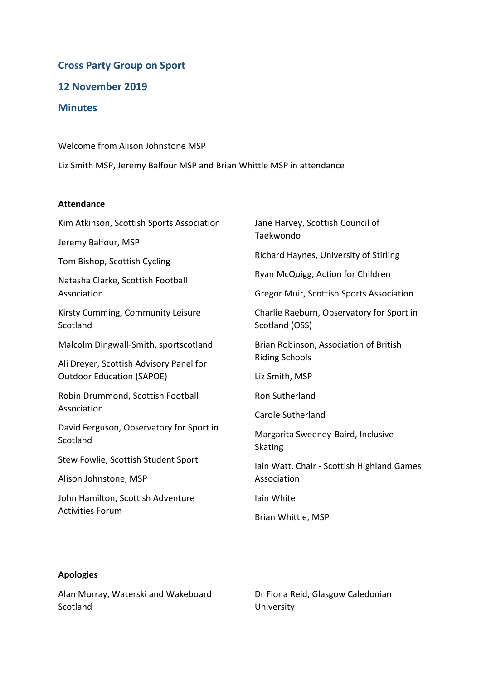# **Cross Party Group on Sport**

**12 November 2019**

## **Minutes**

Welcome from Alison Johnstone MSP

Liz Smith MSP, Jeremy Balfour MSP and Brian Whittle MSP in attendance

#### **Attendance**

Kim Atkinson, Scottish Sports Association

Jeremy Balfour, MSP

Tom Bishop, Scottish Cycling

Natasha Clarke, Scottish Football Association

Kirsty Cumming, Community Leisure Scotland

Malcolm Dingwall-Smith, sportscotland

Ali Dreyer, Scottish Advisory Panel for Outdoor Education (SAPOE)

Robin Drummond, Scottish Football Association

David Ferguson, Observatory for Sport in **Scotland** 

Stew Fowlie, Scottish Student Sport

Alison Johnstone, MSP

John Hamilton, Scottish Adventure Activities Forum

Jane Harvey, Scottish Council of Taekwondo

Richard Haynes, University of Stirling

Ryan McQuigg, Action for Children

Gregor Muir, Scottish Sports Association

Charlie Raeburn, Observatory for Sport in Scotland (OSS)

Brian Robinson, Association of British Riding Schools

Liz Smith, MSP

Ron Sutherland

Carole Sutherland

Margarita Sweeney-Baird, Inclusive Skating

Iain Watt, Chair - Scottish Highland Games Association

Iain White

Brian Whittle, MSP

### **Apologies**

Alan Murray, Waterski and Wakeboard Scotland

Dr Fiona Reid, Glasgow Caledonian University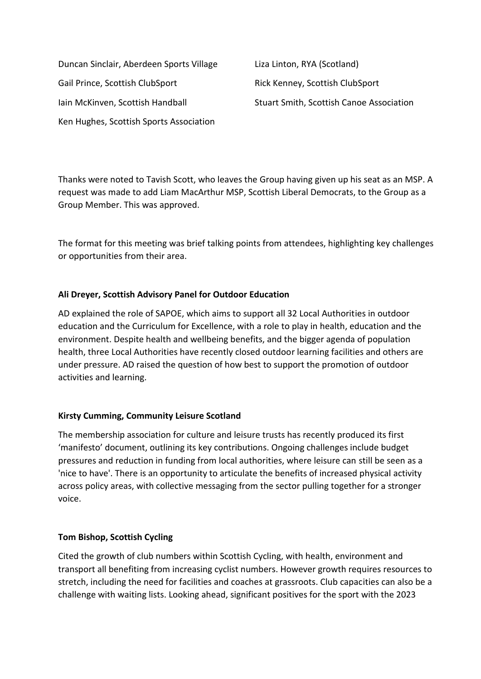Duncan Sinclair, Aberdeen Sports Village Gail Prince, Scottish ClubSport Iain McKinven, Scottish Handball Ken Hughes, Scottish Sports Association

Liza Linton, RYA (Scotland) Rick Kenney, Scottish ClubSport Stuart Smith, Scottish Canoe Association

Thanks were noted to Tavish Scott, who leaves the Group having given up his seat as an MSP. A request was made to add Liam MacArthur MSP, Scottish Liberal Democrats, to the Group as a Group Member. This was approved.

The format for this meeting was brief talking points from attendees, highlighting key challenges or opportunities from their area.

### **Ali Dreyer, Scottish Advisory Panel for Outdoor Education**

AD explained the role of SAPOE, which aims to support all 32 Local Authorities in outdoor education and the Curriculum for Excellence, with a role to play in health, education and the environment. Despite health and wellbeing benefits, and the bigger agenda of population health, three Local Authorities have recently closed outdoor learning facilities and others are under pressure. AD raised the question of how best to support the promotion of outdoor activities and learning.

### **Kirsty Cumming, Community Leisure Scotland**

The membership association for culture and leisure trusts has recently produced its first 'manifesto' document, outlining its key contributions. Ongoing challenges include budget pressures and reduction in funding from local authorities, where leisure can still be seen as a 'nice to have'. There is an opportunity to articulate the benefits of increased physical activity across policy areas, with collective messaging from the sector pulling together for a stronger voice.

### **Tom Bishop, Scottish Cycling**

Cited the growth of club numbers within Scottish Cycling, with health, environment and transport all benefiting from increasing cyclist numbers. However growth requires resources to stretch, including the need for facilities and coaches at grassroots. Club capacities can also be a challenge with waiting lists. Looking ahead, significant positives for the sport with the 2023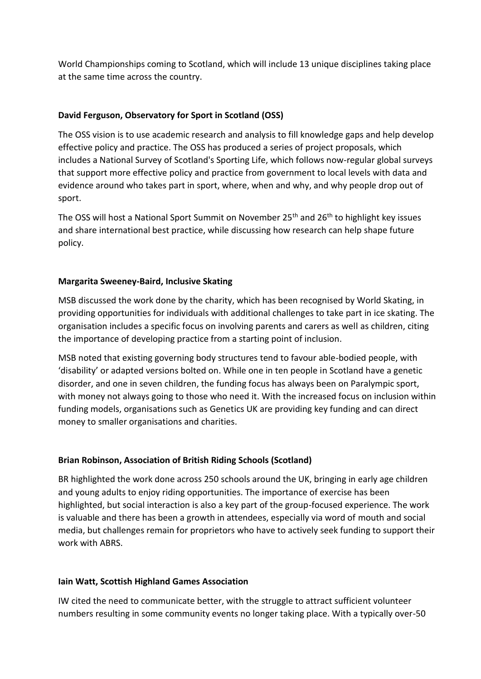World Championships coming to Scotland, which will include 13 unique disciplines taking place at the same time across the country.

# **David Ferguson, Observatory for Sport in Scotland (OSS)**

The OSS vision is to use academic research and analysis to fill knowledge gaps and help develop effective policy and practice. The OSS has produced a series of project proposals, which includes a National Survey of Scotland's Sporting Life, which follows now-regular global surveys that support more effective policy and practice from government to local levels with data and evidence around who takes part in sport, where, when and why, and why people drop out of sport.

The OSS will host a National Sport Summit on November  $25<sup>th</sup>$  and  $26<sup>th</sup>$  to highlight key issues and share international best practice, while discussing how research can help shape future policy.

### **Margarita Sweeney-Baird, Inclusive Skating**

MSB discussed the work done by the charity, which has been recognised by World Skating, in providing opportunities for individuals with additional challenges to take part in ice skating. The organisation includes a specific focus on involving parents and carers as well as children, citing the importance of developing practice from a starting point of inclusion.

MSB noted that existing governing body structures tend to favour able-bodied people, with 'disability' or adapted versions bolted on. While one in ten people in Scotland have a genetic disorder, and one in seven children, the funding focus has always been on Paralympic sport, with money not always going to those who need it. With the increased focus on inclusion within funding models, organisations such as Genetics UK are providing key funding and can direct money to smaller organisations and charities.

### **Brian Robinson, Association of British Riding Schools (Scotland)**

BR highlighted the work done across 250 schools around the UK, bringing in early age children and young adults to enjoy riding opportunities. The importance of exercise has been highlighted, but social interaction is also a key part of the group-focused experience. The work is valuable and there has been a growth in attendees, especially via word of mouth and social media, but challenges remain for proprietors who have to actively seek funding to support their work with ABRS.

### **Iain Watt, Scottish Highland Games Association**

IW cited the need to communicate better, with the struggle to attract sufficient volunteer numbers resulting in some community events no longer taking place. With a typically over-50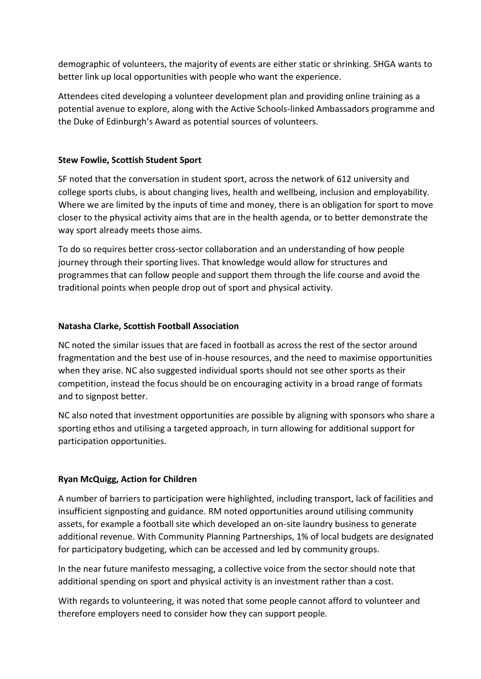demographic of volunteers, the majority of events are either static or shrinking. SHGA wants to better link up local opportunities with people who want the experience.

Attendees cited developing a volunteer development plan and providing online training as a potential avenue to explore, along with the Active Schools-linked Ambassadors programme and the Duke of Edinburgh's Award as potential sources of volunteers.

### **Stew Fowlie, Scottish Student Sport**

SF noted that the conversation in student sport, across the network of 612 university and college sports clubs, is about changing lives, health and wellbeing, inclusion and employability. Where we are limited by the inputs of time and money, there is an obligation for sport to move closer to the physical activity aims that are in the health agenda, or to better demonstrate the way sport already meets those aims.

To do so requires better cross-sector collaboration and an understanding of how people journey through their sporting lives. That knowledge would allow for structures and programmes that can follow people and support them through the life course and avoid the traditional points when people drop out of sport and physical activity.

#### **Natasha Clarke, Scottish Football Association**

NC noted the similar issues that are faced in football as across the rest of the sector around fragmentation and the best use of in-house resources, and the need to maximise opportunities when they arise. NC also suggested individual sports should not see other sports as their competition, instead the focus should be on encouraging activity in a broad range of formats and to signpost better.

NC also noted that investment opportunities are possible by aligning with sponsors who share a sporting ethos and utilising a targeted approach, in turn allowing for additional support for participation opportunities.

### **Ryan McQuigg, Action for Children**

A number of barriers to participation were highlighted, including transport, lack of facilities and insufficient signposting and guidance. RM noted opportunities around utilising community assets, for example a football site which developed an on-site laundry business to generate additional revenue. With Community Planning Partnerships, 1% of local budgets are designated for participatory budgeting, which can be accessed and led by community groups.

In the near future manifesto messaging, a collective voice from the sector should note that additional spending on sport and physical activity is an investment rather than a cost.

With regards to volunteering, it was noted that some people cannot afford to volunteer and therefore employers need to consider how they can support people.